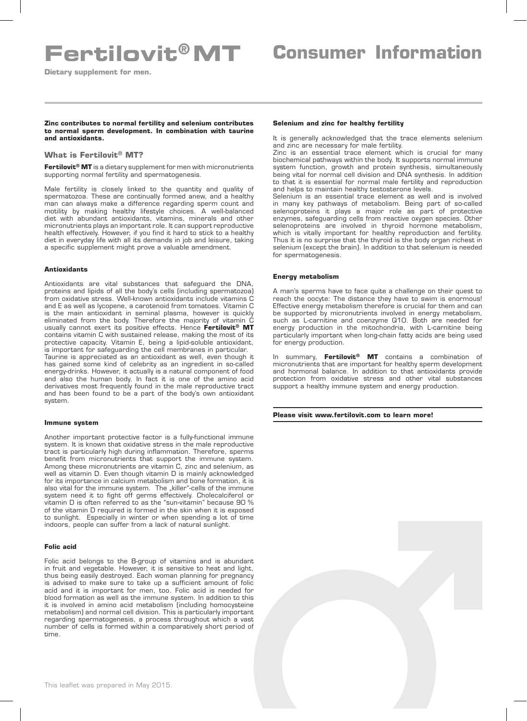# **Fertilovit®MT Consumer Information**

**Dietary supplement for men.** 

**Zinc contributes to normal fertility and selenium contributes to normal sperm development. In combination with taurine and antioxidants.**

# **What is Fertilovit® MT?**

**Fertilovit® MT** is a dietary supplement for men with micronutrients supporting normal fertility and spermatogenesis.

Male fertility is closely linked to the quantity and quality of spermatozoa. These are continually formed anew, and a healthy man can always make a difference regarding sperm count and motility by making healthy lifestyle choices. A well-balanced diet with abundant antioxidants, vitamins, minerals and other micronutrients plays an important role. It can support reproductive health effectively. However, if you find it hard to stick to a healthy diet in everyday life with all its demands in job and leisure, taking a specific supplement might prove a valuable amendment.

## **Antioxidants**

Antioxidants are vital substances that safeguard the DNA, proteins and lipids of all the body's cells (including spermatozoa) from oxidative stress. Well-known antioxidants include vitamins C and E as well as lycopene, a carotenoid from tomatoes. Vitamin C is the main antioxidant in seminal plasma, however is quickly eliminated from the body. Therefore the majority of vitamin C usually cannot exert its positive effects. Hence **Fertilovit® MT** contains vitamin C with sustained release, making the most of its protective capacity. Vitamin E, being a lipid-soluble antioxidant, is important for safeguarding the cell membranes in particular.

Taurine is appreciated as an antioxidant as well, even though it has gained some kind of celebrity as an ingredient in so-called energy-drinks. However, it actually is a natural component of food and also the human body. In fact it is one of the amino acid derivatives most frequently found in the male reproductive tract and has been found to be a part of the body's own antioxidant system.

### **Immune system**

Another important protective factor is a fully-functional immune system. It is known that oxidative stress in the male reproductive tract is particularly high during inflammation. Therefore, sperms benefit from micronutrients that support the immune system. Among these micronutrients are vitamin C, zinc and selenium, as well as vitamin D. Even though vitamin D is mainly acknowledged for its importance in calcium metabolism and bone formation, it is also vital for the immune system. The "killer"-cells of the immune system need it to fight off germs effectively. Cholecalciferol or vitamin D is often referred to as the "sun-vitamin" because 90 % of the vitamin D required is formed in the skin when it is exposed to sunlight. Especially in winter or when spending a lot of time indoors, people can suffer from a lack of natural sunlight.

### **Folic acid**

Folic acid belongs to the B-group of vitamins and is abundant in fruit and vegetable. However, it is sensitive to heat and light, thus being easily destroyed. Each woman planning for pregnancy is advised to make sure to take up a sufficient amount of folic acid and it is important for men, too. Folic acid is needed for blood formation as well as the immune system. In addition to this it is involved in amino acid metabolism (including homocysteine metabolism) and normal cell division. This is particularly important regarding spermatogenesis, a process throughout which a vast number of cells is formed within a comparatively short period of time.

#### **Selenium and zinc for healthy fertility**

It is generally acknowledged that the trace elements selenium and zinc are necessary for male fertility.

Zinc is an essential trace element which is crucial for many biochemical pathways within the body. It supports normal immune system function, growth and protein synthesis, simultaneously being vital for normal cell division and DNA synthesis. In addition to that it is essential for normal male fertility and reproduction and helps to maintain healthy testosterone levels.

Selenium is an essential trace element as well and is involved in many key pathways of metabolism. Being part of so-called selenoproteins it plays a major role as part of protective enzymes, safeguarding cells from reactive oxygen species. Other selenoproteins are involved in thyroid hormone metabolism, which is vitally important for healthy reproduction and fertility. Thus it is no surprise that the thyroid is the body organ richest in selenium (except the brain). In addition to that selenium is needed for spermatogenesis.

#### **Energy metabolism**

A man's sperms have to face quite a challenge on their quest to reach the oocyte: The distance they have to swim is enormous! Effective energy metabolism therefore is crucial for them and can be supported by micronutrients involved in energy metabolism, such as L-carnitine and coenzyme Q10. Both are needed for energy production in the mitochondria, with L-carnitine being particularly important when long-chain fatty acids are being used for energy production.

In summary, **Fertilovit® MT** contains a combination of micronutrients that are important for healthy sperm development and hormonal balance. In addition to that antioxidants provide protection from oxidative stress and other vital substances support a healthy immune system and energy production.

**Please visit www.fertilovit.com to learn more!**